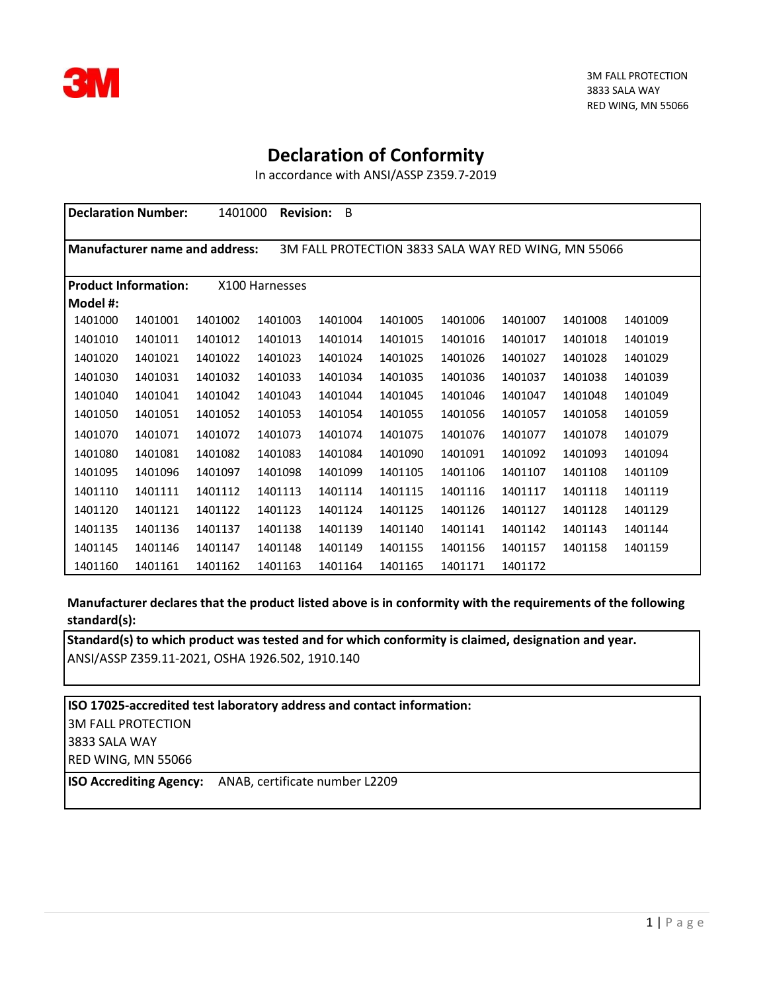

## **Declaration of Conformity**

In accordance with ANSI/ASSP Z359.7-2019

|          | <b>Declaration Number:</b>       | 1401000 | <b>Revision:</b> | B       |                                                     |         |         |         |         |
|----------|----------------------------------|---------|------------------|---------|-----------------------------------------------------|---------|---------|---------|---------|
|          |                                  |         |                  |         |                                                     |         |         |         |         |
|          | l Manufacturer name and address: |         |                  |         | 3M FALL PROTECTION 3833 SALA WAY RED WING, MN 55066 |         |         |         |         |
|          |                                  |         |                  |         |                                                     |         |         |         |         |
|          | <b>Product Information:</b>      |         | X100 Harnesses   |         |                                                     |         |         |         |         |
| Model #: |                                  |         |                  |         |                                                     |         |         |         |         |
| 1401000  | 1401001                          | 1401002 | 1401003          | 1401004 | 1401005                                             | 1401006 | 1401007 | 1401008 | 1401009 |
| 1401010  | 1401011                          | 1401012 | 1401013          | 1401014 | 1401015                                             | 1401016 | 1401017 | 1401018 | 1401019 |
| 1401020  | 1401021                          | 1401022 | 1401023          | 1401024 | 1401025                                             | 1401026 | 1401027 | 1401028 | 1401029 |
| 1401030  | 1401031                          | 1401032 | 1401033          | 1401034 | 1401035                                             | 1401036 | 1401037 | 1401038 | 1401039 |
| 1401040  | 1401041                          | 1401042 | 1401043          | 1401044 | 1401045                                             | 1401046 | 1401047 | 1401048 | 1401049 |
| 1401050  | 1401051                          | 1401052 | 1401053          | 1401054 | 1401055                                             | 1401056 | 1401057 | 1401058 | 1401059 |
| 1401070  | 1401071                          | 1401072 | 1401073          | 1401074 | 1401075                                             | 1401076 | 1401077 | 1401078 | 1401079 |
| 1401080  | 1401081                          | 1401082 | 1401083          | 1401084 | 1401090                                             | 1401091 | 1401092 | 1401093 | 1401094 |
| 1401095  | 1401096                          | 1401097 | 1401098          | 1401099 | 1401105                                             | 1401106 | 1401107 | 1401108 | 1401109 |
| 1401110  | 1401111                          | 1401112 | 1401113          | 1401114 | 1401115                                             | 1401116 | 1401117 | 1401118 | 1401119 |
| 1401120  | 1401121                          | 1401122 | 1401123          | 1401124 | 1401125                                             | 1401126 | 1401127 | 1401128 | 1401129 |
| 1401135  | 1401136                          | 1401137 | 1401138          | 1401139 | 1401140                                             | 1401141 | 1401142 | 1401143 | 1401144 |
| 1401145  | 1401146                          | 1401147 | 1401148          | 1401149 | 1401155                                             | 1401156 | 1401157 | 1401158 | 1401159 |
| 1401160  | 1401161                          | 1401162 | 1401163          | 1401164 | 1401165                                             | 1401171 | 1401172 |         |         |

**Manufacturer declares that the product listed above is in conformity with the requirements of the following standard(s):**

**Standard(s) to which product was tested and for which conformity is claimed, designation and year.** ANSI/ASSP Z359.11-2021, OSHA 1926.502, 1910.140

**ISO 17025-accredited test laboratory address and contact information:** 3M FALL PROTECTION 3833 SALA WAY RED WING, MN 55066

**ISO Accrediting Agency:** ANAB, certificate number L2209